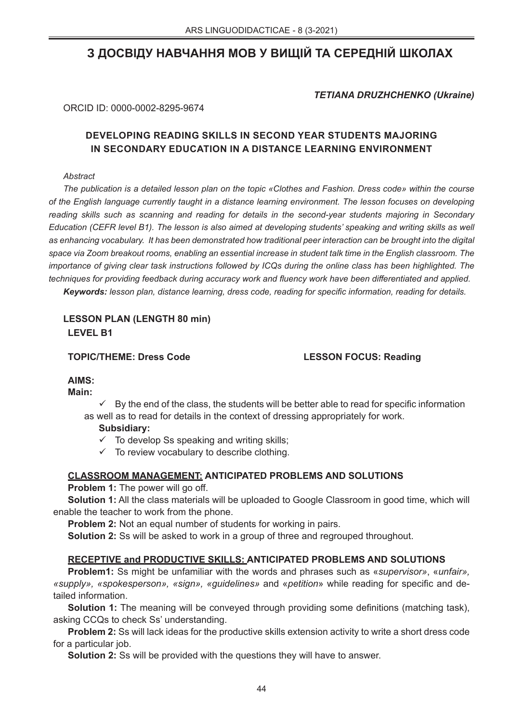# **З ДОСВІДУ НАВЧАННЯ МОВ У ВИЩІЙ ТА СЕРЕДНІЙ ШКОЛАХ**

*TETIANA DRUZHCHENKO (Ukraine)*

ORCID ID: 0000-0002-8295-9674

# **DEVELOPING READING SKILLS IN SECOND YEAR STUDENTS MAJORING IN SECONDARY EDUCATION IN A DISTANCE LEARNING ENVIRONMENT**

#### *Abstract*

*The publication is a detailed lesson plan on the topic «Clothes and Fashion. Dress code» within the course of the English language currently taught in a distance learning environment. The lesson focuses on developing reading skills such as scanning and reading for details in the second-year students majoring in Secondary Education (CEFR level B1). The lesson is also aimed at developing students' speaking and writing skills as well as enhancing vocabulary. It has been demonstrated how traditional peer interaction can be brought into the digital space via Zoom breakout rooms, enabling an essential increase in student talk time in the English classroom. The importance of giving clear task instructions followed by ICQs during the online class has been highlighted. The techniques for providing feedback during accuracy work and fluency work have been differentiated and applied.*

*Keywords: lesson plan, distance learning, dress code, reading for specific information, reading for details.* 

**LESSON PLAN (LENGTH 80 min) LEVEL B1** 

**TOPIC/THEME: Dress Code LESSON FOCUS: Reading** 

## **AIMS:**

**Main:**

 By the end of the class, the students will be better able to read for specific information as well as to read for details in the context of dressing appropriately for work.

## **Subsidiary:**

 $\checkmark$  To develop Ss speaking and writing skills;

 $\checkmark$  To review vocabulary to describe clothing.

## **CLASSROOM MANAGEMENT: ANTICIPATED PROBLEMS AND SOLUTIONS**

**Problem 1:** The power will go off.

**Solution 1:** All the class materials will be uploaded to Google Classroom in good time, which will enable the teacher to work from the phone.

**Problem 2:** Not an equal number of students for working in pairs.

**Solution 2:** Ss will be asked to work in a group of three and regrouped throughout.

## **RECEPTIVE and PRODUCTIVE SKILLS: ANTICIPATED PROBLEMS AND SOLUTIONS**

**Problem1:** Ss might be unfamiliar with the words and phrases such as «*supervisor»*, «*unfair», «supply», «spokesperson», «sign», «guidelines»* and «*petition*» while reading for specific and detailed information.

**Solution 1:** The meaning will be conveyed through providing some definitions (matching task), asking CCQs to check Ss' understanding.

**Problem 2:** Ss will lack ideas for the productive skills extension activity to write a short dress code for a particular job.

**Solution 2:** Ss will be provided with the questions they will have to answer.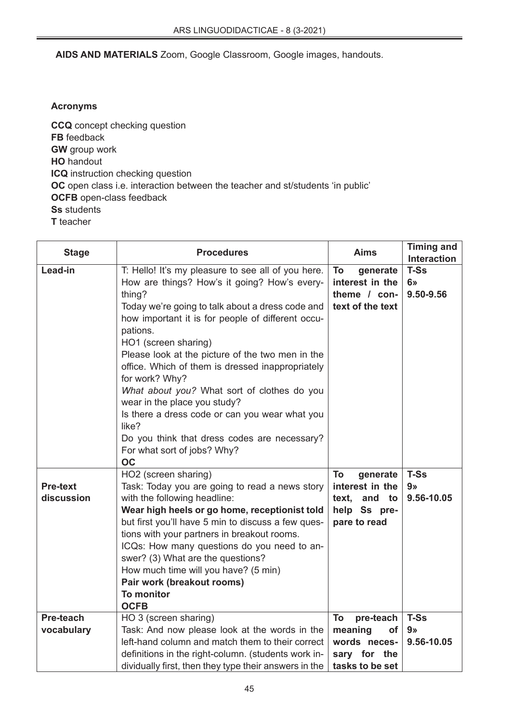## **AIDS AND MATERIALS** Zoom, Google Classroom, Google images, handouts.

## **Acronyms**

**CCQ** concept checking question **FB** feedback **GW** group work **HO** handout **ICQ** instruction checking question **OC** open class i.e. interaction between the teacher and st/students 'in public' **OCFB** open-class feedback **Ss** students **T** teacher

| <b>Stage</b>                  | <b>Procedures</b>                                                                                                                                                                                                                                                                                                                                                                                                                                                                                                                                                                                            | <b>Aims</b>                                                                         | <b>Timing and</b><br><b>Interaction</b>     |
|-------------------------------|--------------------------------------------------------------------------------------------------------------------------------------------------------------------------------------------------------------------------------------------------------------------------------------------------------------------------------------------------------------------------------------------------------------------------------------------------------------------------------------------------------------------------------------------------------------------------------------------------------------|-------------------------------------------------------------------------------------|---------------------------------------------|
| Lead-in                       | T: Hello! It's my pleasure to see all of you here.<br>How are things? How's it going? How's every-<br>thing?<br>Today we're going to talk about a dress code and<br>how important it is for people of different occu-<br>pations.<br>HO1 (screen sharing)<br>Please look at the picture of the two men in the<br>office. Which of them is dressed inappropriately<br>for work? Why?<br>What about you? What sort of clothes do you<br>wear in the place you study?<br>Is there a dress code or can you wear what you<br>like?<br>Do you think that dress codes are necessary?<br>For what sort of jobs? Why? | To<br>generate<br>interest in the<br>theme / con-<br>text of the text               | <b>T-Ss</b><br>6 <sub>x</sub><br>9.50-9.56  |
| <b>Pre-text</b><br>discussion | <b>OC</b><br>HO2 (screen sharing)<br>Task: Today you are going to read a news story<br>with the following headline:<br>Wear high heels or go home, receptionist told<br>but first you'll have 5 min to discuss a few ques-<br>tions with your partners in breakout rooms.<br>ICQs: How many questions do you need to an-<br>swer? (3) What are the questions?<br>How much time will you have? (5 min)<br>Pair work (breakout rooms)<br><b>To monitor</b><br><b>OCFB</b>                                                                                                                                      | To<br>generate<br>interest in the<br>text, and to<br>help Ss pre-<br>pare to read   | <b>T-Ss</b><br>9 <sub>2</sub><br>9.56-10.05 |
| Pre-teach<br>vocabulary       | HO 3 (screen sharing)<br>Task: And now please look at the words in the<br>left-hand column and match them to their correct<br>definitions in the right-column. (students work in-<br>dividually first, then they type their answers in the                                                                                                                                                                                                                                                                                                                                                                   | To<br>pre-teach<br>meaning<br>οf<br>words neces-<br>sary for the<br>tasks to be set | <b>T-Ss</b><br>9 <sub>9</sub><br>9.56-10.05 |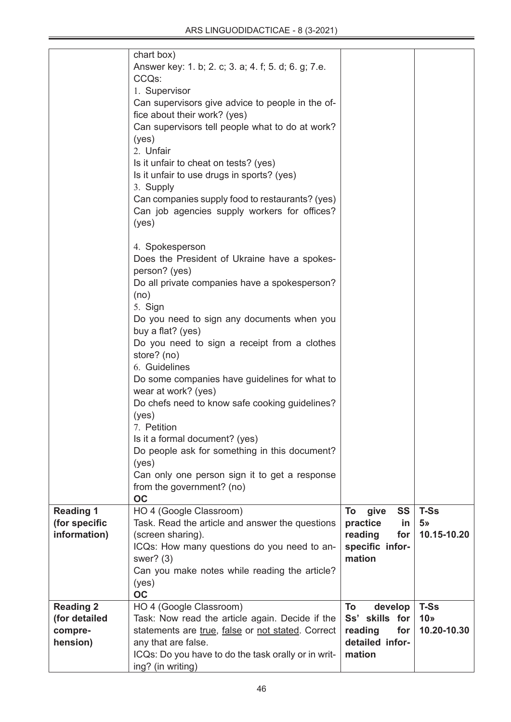|                                                          | chart box)<br>Answer key: 1. b; 2. c; 3. a; 4. f; 5. d; 6. g; 7.e.<br>CCQs:<br>1. Supervisor<br>Can supervisors give advice to people in the of-<br>fice about their work? (yes)<br>Can supervisors tell people what to do at work?<br>(yes)<br>2. Unfair<br>Is it unfair to cheat on tests? (yes)<br>Is it unfair to use drugs in sports? (yes)<br>3. Supply<br>Can companies supply food to restaurants? (yes)<br>Can job agencies supply workers for offices?<br>(yes)                                                                                                                                                                        |                                                                                   |                                               |
|----------------------------------------------------------|--------------------------------------------------------------------------------------------------------------------------------------------------------------------------------------------------------------------------------------------------------------------------------------------------------------------------------------------------------------------------------------------------------------------------------------------------------------------------------------------------------------------------------------------------------------------------------------------------------------------------------------------------|-----------------------------------------------------------------------------------|-----------------------------------------------|
|                                                          | 4. Spokesperson<br>Does the President of Ukraine have a spokes-<br>person? (yes)<br>Do all private companies have a spokesperson?<br>(no)<br>5. Sign<br>Do you need to sign any documents when you<br>buy a flat? (yes)<br>Do you need to sign a receipt from a clothes<br>store? (no)<br>6. Guidelines<br>Do some companies have guidelines for what to<br>wear at work? (yes)<br>Do chefs need to know safe cooking guidelines?<br>(yes)<br>7. Petition<br>Is it a formal document? (yes)<br>Do people ask for something in this document?<br>(yes)<br>Can only one person sign it to get a response<br>from the government? (no)<br><b>OC</b> |                                                                                   |                                               |
| <b>Reading 1</b><br>(for specific<br>information)        | HO 4 (Google Classroom)<br>Task. Read the article and answer the questions<br>(screen sharing).<br>ICQs: How many questions do you need to an-<br>swer? $(3)$<br>Can you make notes while reading the article?<br>(yes)<br>OC                                                                                                                                                                                                                                                                                                                                                                                                                    | To<br>give<br>SS<br>practice<br>in<br>reading<br>for<br>specific infor-<br>mation | <b>T-Ss</b><br>5 <sub>9</sub><br>10.15-10.20  |
| <b>Reading 2</b><br>(for detailed<br>compre-<br>hension) | HO 4 (Google Classroom)<br>Task: Now read the article again. Decide if the<br>statements are true, false or not stated. Correct<br>any that are false.<br>ICQs: Do you have to do the task orally or in writ-<br>ing? (in writing)                                                                                                                                                                                                                                                                                                                                                                                                               | To<br>develop<br>Ss' skills for<br>reading<br>for<br>detailed infor-<br>mation    | <b>T-Ss</b><br>10 <sub>9</sub><br>10.20-10.30 |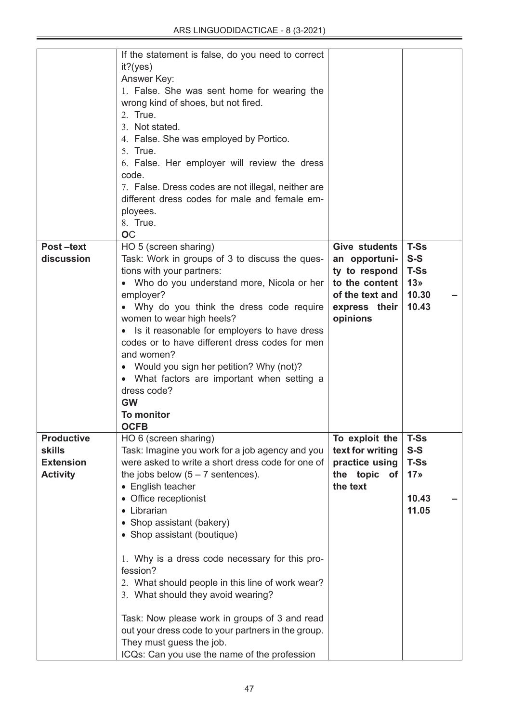| Post-text<br>discussion             | If the statement is false, do you need to correct<br>$it?$ (yes)<br>Answer Key:<br>1. False. She was sent home for wearing the<br>wrong kind of shoes, but not fired.<br>2. True.<br>3. Not stated.<br>4. False. She was employed by Portico.<br>5. True.<br>6. False. Her employer will review the dress<br>code.<br>7. False. Dress codes are not illegal, neither are<br>different dress codes for male and female em-<br>ployees.<br>8. True.<br><b>OC</b><br>HO 5 (screen sharing)<br>Task: Work in groups of 3 to discuss the ques-<br>tions with your partners:<br>• Who do you understand more, Nicola or her<br>employer?<br>• Why do you think the dress code require<br>women to wear high heels?<br>• Is it reasonable for employers to have dress<br>codes or to have different dress codes for men<br>and women?<br>• Would you sign her petition? Why (not)?<br>• What factors are important when setting a<br>dress code?<br><b>GW</b><br><b>To monitor</b> | Give students<br>an opportuni-<br>ty to respond<br>to the content<br>of the text and<br>express their<br>opinions | <b>T-Ss</b><br>$S-S$<br><b>T-Ss</b><br>13 <sub>9</sub><br>10.30<br>10.43 |  |
|-------------------------------------|-----------------------------------------------------------------------------------------------------------------------------------------------------------------------------------------------------------------------------------------------------------------------------------------------------------------------------------------------------------------------------------------------------------------------------------------------------------------------------------------------------------------------------------------------------------------------------------------------------------------------------------------------------------------------------------------------------------------------------------------------------------------------------------------------------------------------------------------------------------------------------------------------------------------------------------------------------------------------------|-------------------------------------------------------------------------------------------------------------------|--------------------------------------------------------------------------|--|
| <b>Productive</b><br><b>skills</b>  | HO 6 (screen sharing)<br>Task: Imagine you work for a job agency and you                                                                                                                                                                                                                                                                                                                                                                                                                                                                                                                                                                                                                                                                                                                                                                                                                                                                                                    | To exploit the<br>text for writing                                                                                | <b>T-Ss</b><br>$S-S$                                                     |  |
| <b>Extension</b><br><b>Activity</b> | were asked to write a short dress code for one of<br>the jobs below $(5 - 7$ sentences).                                                                                                                                                                                                                                                                                                                                                                                                                                                                                                                                                                                                                                                                                                                                                                                                                                                                                    | practice using<br>the topic of                                                                                    | <b>T-Ss</b><br>17 <sub>2</sub>                                           |  |
|                                     | • English teacher<br>• Office receptionist<br>• Librarian                                                                                                                                                                                                                                                                                                                                                                                                                                                                                                                                                                                                                                                                                                                                                                                                                                                                                                                   | the text                                                                                                          | 10.43<br>11.05                                                           |  |
|                                     | • Shop assistant (bakery)<br>• Shop assistant (boutique)                                                                                                                                                                                                                                                                                                                                                                                                                                                                                                                                                                                                                                                                                                                                                                                                                                                                                                                    |                                                                                                                   |                                                                          |  |
|                                     | 1. Why is a dress code necessary for this pro-<br>fession?                                                                                                                                                                                                                                                                                                                                                                                                                                                                                                                                                                                                                                                                                                                                                                                                                                                                                                                  |                                                                                                                   |                                                                          |  |
|                                     | 2. What should people in this line of work wear?<br>3. What should they avoid wearing?                                                                                                                                                                                                                                                                                                                                                                                                                                                                                                                                                                                                                                                                                                                                                                                                                                                                                      |                                                                                                                   |                                                                          |  |
|                                     | Task: Now please work in groups of 3 and read<br>out your dress code to your partners in the group.<br>They must guess the job.<br>ICQs: Can you use the name of the profession                                                                                                                                                                                                                                                                                                                                                                                                                                                                                                                                                                                                                                                                                                                                                                                             |                                                                                                                   |                                                                          |  |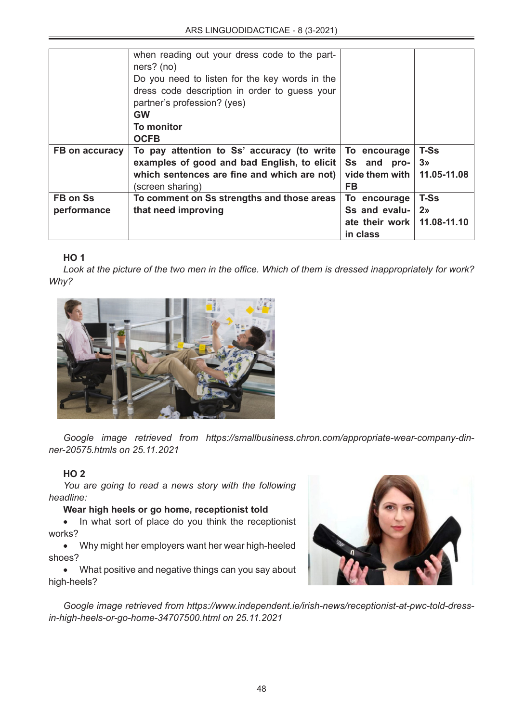|                | when reading out your dress code to the part-<br>ners? (no) |                        |                |
|----------------|-------------------------------------------------------------|------------------------|----------------|
|                | Do you need to listen for the key words in the              |                        |                |
|                | dress code description in order to guess your               |                        |                |
|                | partner's profession? (yes)                                 |                        |                |
|                | <b>GW</b>                                                   |                        |                |
|                | <b>To monitor</b>                                           |                        |                |
|                | <b>OCFB</b>                                                 |                        |                |
| FB on accuracy | To pay attention to Ss' accuracy (to write                  | To encourage           | <b>T-Ss</b>    |
|                | examples of good and bad English, to elicit                 | Ss and pro-            | 3 <sub>n</sub> |
|                | which sentences are fine and which are not)                 | vide them with         | 11.05-11.08    |
|                | (screen sharing)                                            | <b>FB</b>              |                |
| FB on Ss       | To comment on Ss strengths and those areas                  | To encourage           | <b>T-Ss</b>    |
| performance    | that need improving                                         | Ss and evalu-          | 2 <sub>2</sub> |
|                |                                                             | ate their work $\vert$ | 11.08-11.10    |
|                |                                                             | in class               |                |

# **HO 1**

*Look at the picture of the two men in the office. Which of them is dressed inappropriately for work? Why?*



*Google image retrieved from https://smallbusiness.chron.com/appropriate-wear-company-dinner-20575.htmls on 25.11.2021*

## **HO 2**

*You are going to read a news story with the following headline:*

## **Wear high heels or go home, receptionist told**

• In what sort of place do you think the receptionist works?

• Why might her employers want her wear high-heeled shoes?

• What positive and negative things can you say about high-heels?



*Google image retrieved from https://www.independent.ie/irish-news/receptionist-at-pwc-told-dressin-high-heels-or-go-home-34707500.html on 25.11.2021*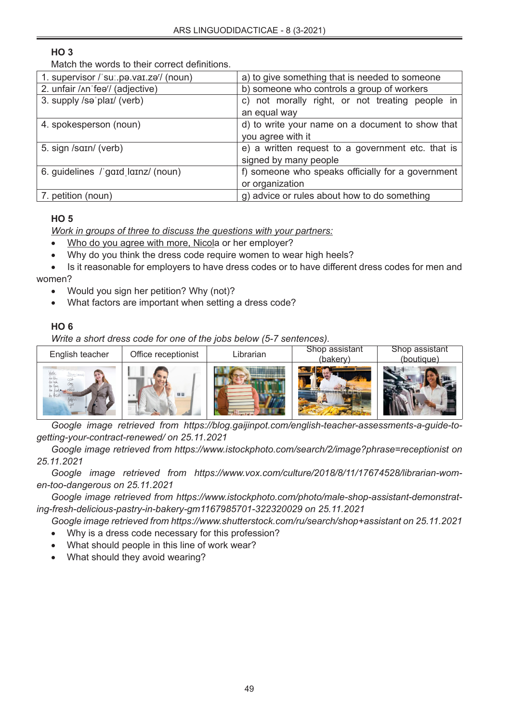# **HO 3**

Match the words to their correct definitions.

| 1. supervisor / sul.pa.var.zal/ (noun) | a) to give something that is needed to someone    |  |  |
|----------------------------------------|---------------------------------------------------|--|--|
| 2. unfair /ʌnˈfeə'/ (adjective)        | b) someone who controls a group of workers        |  |  |
| 3. supply /sə'plaɪ/ (verb)             | c) not morally right, or not treating people in   |  |  |
|                                        | an equal way                                      |  |  |
| 4. spokesperson (noun)                 | d) to write your name on a document to show that  |  |  |
|                                        | you agree with it                                 |  |  |
| 5. sign /sain/ (verb)                  | e) a written request to a government etc. that is |  |  |
|                                        | signed by many people                             |  |  |
| 6. guidelines / gard larnz/ (noun)     | f) someone who speaks officially for a government |  |  |
|                                        | or organization                                   |  |  |
| 7. petition (noun)                     | g) advice or rules about how to do something      |  |  |

# **HO 5**

*Work in groups of three to discuss the questions with your partners:*

- Who do you agree with more, Nicola or her employer?
- Why do you think the dress code require women to wear high heels?
- Is it reasonable for employers to have dress codes or to have different dress codes for men and women?
	- Would you sign her petition? Why (not)?
	- What factors are important when setting a dress code?

# **HO 6**

*Write a short dress code for one of the jobs below (5-7 sentences).*

| English teacher | Office receptionist | Librarian | Shop assistant<br>(bakery) | Shop assistant<br>(boutique) |
|-----------------|---------------------|-----------|----------------------------|------------------------------|
|                 | 日田                  |           |                            |                              |

*Google image retrieved from https://blog.gaijinpot.com/english-teacher-assessments-a-guide-togetting-your-contract-renewed/ on 25.11.2021*

*Google image retrieved from https://www.istockphoto.com/search/2/image?phrase=receptionist on 25.11.2021*

*Google image retrieved from https://www.vox.com/culture/2018/8/11/17674528/librarian-women-too-dangerous on 25.11.2021*

*Google image retrieved from https://www.istockphoto.com/photo/male-shop-assistant-demonstrating-fresh-delicious-pastry-in-bakery-gm1167985701-322320029 on 25.11.2021*

*Google image retrieved from https://www.shutterstock.com/ru/search/shop+assistant on 25.11.2021*

- Why is a dress code necessary for this profession?
- What should people in this line of work wear?
- What should they avoid wearing?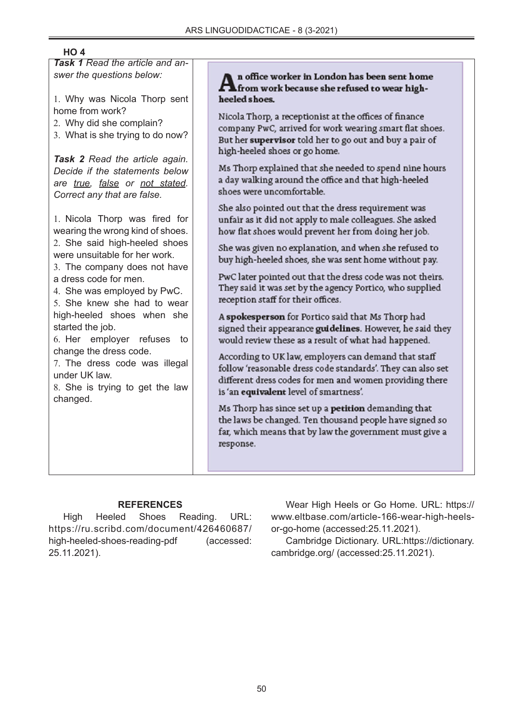# **HO 4**

*Task 1 Read the article and answer the questions below:*

1. Why was Nicola Thorp sent home from work?

- 2. Why did she complain?
- 3. What is she trying to do now?

*Task 2 Read the article again. Decide if the statements below are true, false or not stated. Correct any that are false.*

1. Nicola Thorp was fired for wearing the wrong kind of shoes. 2. She said high-heeled shoes were unsuitable for her work.

3. The company does not have a dress code for men.

4. She was employed by PwC.

5. She knew she had to wear high-heeled shoes when she started the job.

6. Her employer refuses to change the dress code.

7. The dress code was illegal under UK law.

8. She is trying to get the law changed.

n office worker in London has been sent home from work because she refused to wear highheeled shoes.

Nicola Thorp, a receptionist at the offices of finance company PwC, arrived for work wearing smart flat shoes. But her supervisor told her to go out and buy a pair of high-heeled shoes or go home.

Ms Thorp explained that she needed to spend nine hours a day walking around the office and that high-heeled shoes were uncomfortable.

She also pointed out that the dress requirement was unfair as it did not apply to male colleagues. She asked how flat shoes would prevent her from doing her job.

She was given no explanation, and when she refused to buy high-heeled shoes, she was sent home without pay.

PwC later pointed out that the dress code was not theirs. They said it was set by the agency Portico, who supplied reception staff for their offices.

A spokesperson for Portico said that Ms Thorp had signed their appearance guidelines. However, he said they would review these as a result of what had happened.

According to UK law, employers can demand that staff follow 'reasonable dress code standards'. They can also set different dress codes for men and women providing there is 'an equivalent level of smartness'.

Ms Thorp has since set up a petition demanding that the laws be changed. Ten thousand people have signed so far, which means that by law the government must give a response.

## **REFERENCES**

High Heeled Shoes Reading. URL: https://ru.scribd.com/document/426460687/ high-heeled-shoes-reading-pdf (accessed: 25.11.2021).

Wear High Heels or Go Home. URL: https:// www.eltbase.com/article-166-wear-high-heelsor-go-home (accessed:25.11.2021).

Cambridge Dictionary. URL:https://dictionary. cambridge.org/ (accessed:25.11.2021).